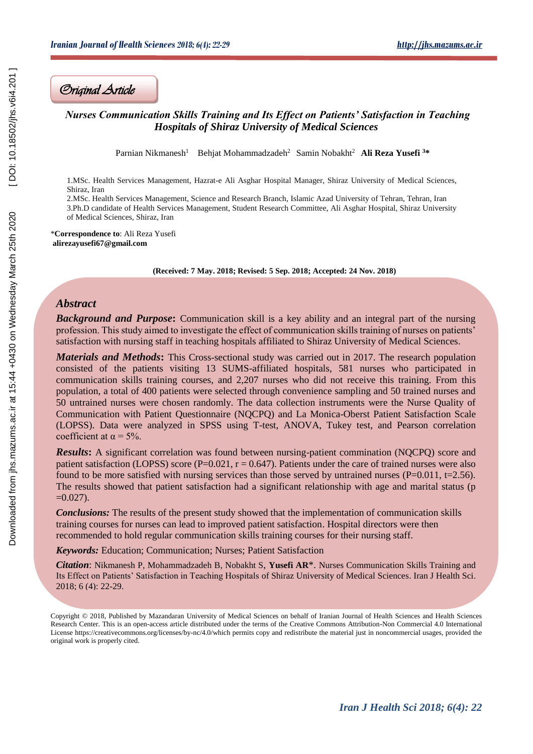## *Nurses Communication Skills Training and Its Effect on Patients' Satisfaction in Teaching Hospitals of Shiraz University of Medical Sciences*

Parnian Nikmanesh<sup>1</sup> Behjat Mohammadzadeh<sup>2</sup> Samin Nobakht<sup>2</sup> Ali Reza Yusefi <sup>3</sup>\*

1.MSc. Health Services Management, Hazrat-e Ali Asghar Hospital Manager, Shiraz University of Medical Sciences, Shiraz, Iran

2.MSc. Health Services Management, Science and Research Branch, Islamic Azad University of Tehran, Tehran, Iran 3.Ph.D candidate of Health Services Management, Student Research Committee, Ali Asghar Hospital, Shiraz University of Medical Sciences, Shiraz, Iran

\***Correspondence to**: Ali Reza Yusefi **alirezayusefi67@gmail.com** 

**(Received: 7 May. 2018; Revised: 5 Sep. 2018; Accepted: 24 Nov. 2018)**

## *Abstract*

*Background and Purpose***:** Communication skill is a key ability and an integral part of the nursing profession. This study aimed to investigate the effect of communication skills training of nurses on patients' satisfaction with nursing staff in teaching hospitals affiliated to Shiraz University of Medical Sciences.

*Materials and Methods***:** This Cross-sectional study was carried out in 2017. The research population consisted of the patients visiting 13 SUMS-affiliated hospitals, 581 nurses who participated in communication skills training courses, and 2,207 nurses who did not receive this training. From this population, a total of 400 patients were selected through convenience sampling and 50 trained nurses and 50 untrained nurses were chosen randomly. The data collection instruments were the Nurse Quality of Communication with Patient Questionnaire (NQCPQ) and La Monica-Oberst Patient Satisfaction Scale (LOPSS). Data were analyzed in SPSS using T-test, ANOVA, Tukey test, and Pearson correlation coefficient at  $\alpha = 5\%$ . *Original Article* [Downloaded from jhs.mazums.ac.ir at 15:44 +0430 on Wednesday March 25th 2020 \[ DOI: 10.18502/jhs.v6i4.201 \]](http://jhs.mazums.ac.ir/article-1-591-en.html) 

*Results***:** A significant correlation was found between nursing-patient commination (NQCPQ) score and patient satisfaction (LOPSS) score (P=0.021,  $r = 0.647$ ). Patients under the care of trained nurses were also found to be more satisfied with nursing services than those served by untrained nurses ( $P=0.011$ , t=2.56). The results showed that patient satisfaction had a significant relationship with age and marital status (p  $=0.027$ ).

*Conclusions:* The results of the present study showed that the implementation of communication skills training courses for nurses can lead to improved patient satisfaction. Hospital directors were then recommended to hold regular communication skills training courses for their nursing staff.

*Keywords:* Education; Communication; Nurses; Patient Satisfaction

*Citation*: Nikmanesh P, Mohammadzadeh B, Nobakht S, **Yusefi AR**\*. Nurses Communication Skills Training and Its Effect on Patients' Satisfaction in Teaching Hospitals of Shiraz University of Medical Sciences. Iran J Health Sci. 2018; 6 (4): 22-29.

Copyright © 2018, Published by Mazandaran University of Medical Sciences on behalf of Iranian Journal of Health Sciences and Health Sciences Research Center. This is an open-access article distributed under the terms of the Creative Commons Attribution-Non Commercial 4.0 International License https://creativecommons.org/licenses/by-nc/4.0/which permits copy and redistribute the material just in noncommercial usages, provided the original work is properly cited.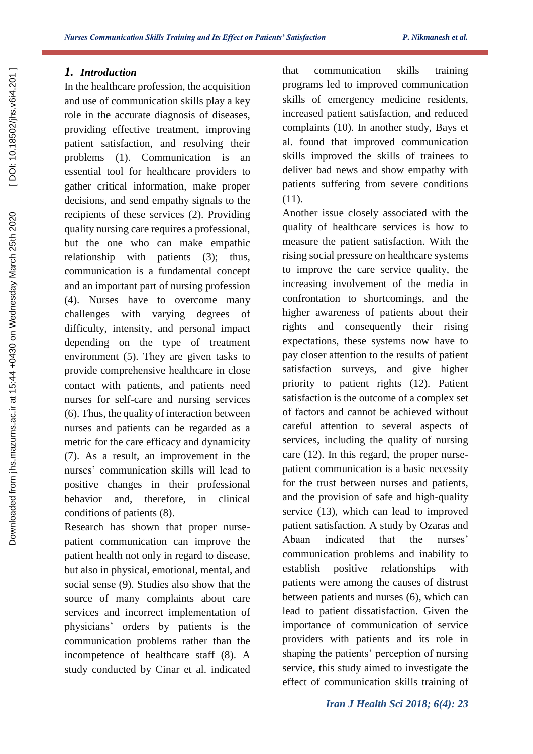# *1. Introduction*

In the healthcare profession, the acquisition and use of communication skills play a key role in the accurate diagnosis of diseases, providing effective treatment, improving patient satisfaction, and resolving their problems (1). Communication is an essential tool for healthcare providers to gather critical information, make proper decisions, and send empathy signals to the recipients of these services (2). Providing quality nursing care requires a professional, but the one who can make empathic relationship with patients (3); thus, communication is a fundamental concept and an important part of nursing profession (4). Nurses have to overcome many challenges with varying degrees of difficulty, intensity, and personal impact depending on the type of treatment environment (5). They are given tasks to provide comprehensive healthcare in close contact with patients, and patients need nurses for self-care and nursing services (6). Thus, the quality of interaction between nurses and patients can be regarded as a metric for the care efficacy and dynamicity (7). As a result, an improvement in the nurses' communication skills will lead to positive changes in their professional behavior and, therefore, in clinical conditions of patients (8).

Research has shown that proper nursepatient communication can improve the patient health not only in regard to disease, but also in physical, emotional, mental, and social sense (9). Studies also show that the source of many complaints about care services and incorrect implementation of physicians' orders by patients is the communication problems rather than the incompetence of healthcare staff (8). A study conducted by Cinar et al. indicated

that communication skills training programs led to improved communication skills of emergency medicine residents, increased patient satisfaction, and reduced complaints (10). In another study, Bays et al. found that improved communication skills improved the skills of trainees to deliver bad news and show empathy with patients suffering from severe conditions (11).

Another issue closely associated with the quality of healthcare services is how to measure the patient satisfaction. With the rising social pressure on healthcare systems to improve the care service quality, the increasing involvement of the media in confrontation to shortcomings, and the higher awareness of patients about their rights and consequently their rising expectations, these systems now have to pay closer attention to the results of patient satisfaction surveys, and give higher priority to patient rights (12). Patient satisfaction is the outcome of a complex set of factors and cannot be achieved without careful attention to several aspects of services, including the quality of nursing care (12). In this regard, the proper nursepatient communication is a basic necessity for the trust between nurses and patients, and the provision of safe and high-quality service (13), which can lead to improved patient satisfaction. A study by Ozaras and Abaan indicated that the nurses' communication problems and inability to establish positive relationships with patients were among the causes of distrust between patients and nurses (6), which can lead to patient dissatisfaction. Given the importance of communication of service providers with patients and its role in shaping the patients' perception of nursing service, this study aimed to investigate the effect of communication skills training of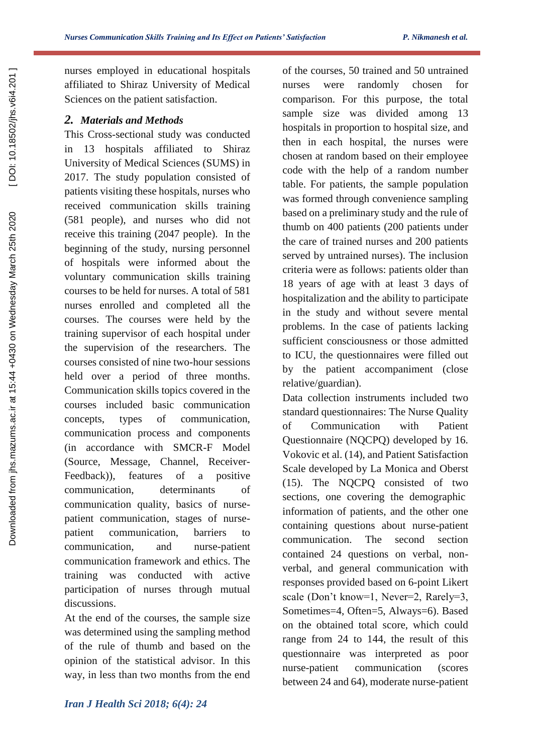nurses employed in educational hospitals affiliated to Shiraz University of Medical Sciences on the patient satisfaction.

### *2. Materials and Methods*

 $\overline{1}$ 

This Cross-sectional study was conducted in 13 hospitals affiliated to Shiraz University of Medical Sciences (SUMS) in 2017. The study population consisted of patients visiting these hospitals, nurses who received communication skills training (581 people), and nurses who did not receive this training (2047 people). In the beginning of the study, nursing personnel of hospitals were informed about the voluntary communication skills training courses to be held for nurses. A total of 581 nurses enrolled and completed all the courses. The courses were held by the training supervisor of each hospital under the supervision of the researchers. The courses consisted of nine two-hour sessions held over a period of three months. Communication skills topics covered in the courses included basic communication concepts, types of communication, communication process and components (in accordance with SMCR-F Model (Source, Message, Channel, Receiver-Feedback)), features of a positive communication, determinants of communication quality, basics of nursepatient communication, stages of nursepatient communication, barriers to communication, and nurse-patient communication framework and ethics. The training was conducted with active participation of nurses through mutual discussions.

At the end of the courses, the sample size was determined using the sampling method of the rule of thumb and based on the opinion of the statistical advisor. In this way, in less than two months from the end of the courses, 50 trained and 50 untrained nurses were randomly chosen for comparison. For this purpose, the total sample size was divided among 13 hospitals in proportion to hospital size, and then in each hospital, the nurses were chosen at random based on their employee code with the help of a random number table. For patients, the sample population was formed through convenience sampling based on a preliminary study and the rule of thumb on 400 patients (200 patients under the care of trained nurses and 200 patients served by untrained nurses). The inclusion criteria were as follows: patients older than 18 years of age with at least 3 days of hospitalization and the ability to participate in the study and without severe mental problems. In the case of patients lacking sufficient consciousness or those admitted to ICU, the questionnaires were filled out by the patient accompaniment (close relative/guardian).

Data collection instruments included two standard questionnaires: The Nurse Quality of Communication with Patient Questionnaire (NQCPQ) developed by 16. Vokovic et al. (14), and Patient Satisfaction Scale developed by La Monica and Oberst (15). The NQCPQ consisted of two sections, one covering the demographic information of patients, and the other one containing questions about nurse-patient communication. The second section contained 24 questions on verbal, nonverbal, and general communication with responses provided based on 6-point Likert scale (Don't know=1, Never=2, Rarely=3, Sometimes=4, Often=5, Always=6). Based on the obtained total score, which could range from 24 to 144, the result of this questionnaire was interpreted as poor nurse-patient communication (scores between 24 and 64), moderate nurse-patient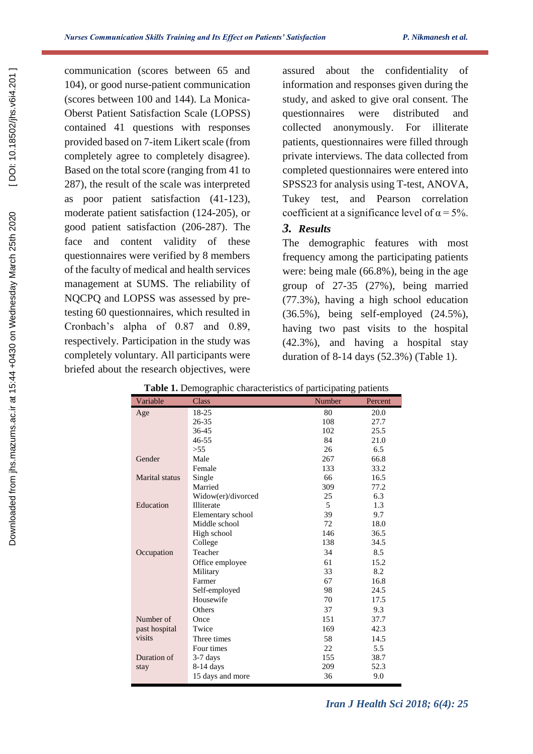communication (scores between 65 and 104), or good nurse-patient communication (scores between 100 and 144). La Monica-Oberst Patient Satisfaction Scale (LOPSS) contained 41 questions with responses provided based on 7-item Likert scale (from completely agree to completely disagree). Based on the total score (ranging from 41 to 287), the result of the scale was interpreted as poor patient satisfaction (41-123), moderate patient satisfaction (124-205), or good patient satisfaction (206-287). The face and content validity of these questionnaires were verified by 8 members of the faculty of medical and health services management at SUMS. The reliability of NQCPQ and LOPSS was assessed by pretesting 60 questionnaires, which resulted in Cronbach's alpha of 0.87 and 0.89, respectively. Participation in the study was completely voluntary. All participants were briefed about the research objectives, were

assured about the confidentiality of information and responses given during the study, and asked to give oral consent. The questionnaires were distributed and collected anonymously. For illiterate patients, questionnaires were filled through private interviews. The data collected from completed questionnaires were entered into SPSS23 for analysis using T-test, ANOVA, Tukey test, and Pearson correlation coefficient at a significance level of  $\alpha = 5\%$ .

# *3. Results*

The demographic features with most frequency among the participating patients were: being male (66.8%), being in the age group of 27-35 (27%), being married (77.3%), having a high school education (36.5%), being self-employed (24.5%), having two past visits to the hospital (42.3%), and having a hospital stay duration of 8-14 days (52.3%) (Table 1).

|                       | <b>radic 1.</b> Demographic enaracteristics of participating patients |        |         |
|-----------------------|-----------------------------------------------------------------------|--------|---------|
| Variable              | Class                                                                 | Number | Percent |
| Age                   | 18-25                                                                 | 80     | 20.0    |
|                       | 26-35                                                                 | 108    | 27.7    |
|                       | 36-45                                                                 | 102    | 25.5    |
|                       | $46 - 55$                                                             | 84     | 21.0    |
|                       | >55                                                                   | 26     | 6.5     |
| Gender                | Male                                                                  | 267    | 66.8    |
|                       | Female                                                                | 133    | 33.2    |
| <b>Marital</b> status | Single                                                                | 66     | 16.5    |
|                       | Married                                                               | 309    | 77.2    |
|                       | Widow(er)/divorced                                                    | 25     | 6.3     |
| Education             | Illiterate                                                            | 5      | 1.3     |
|                       | Elementary school                                                     | 39     | 9.7     |
|                       | Middle school                                                         | 72     | 18.0    |
|                       | High school                                                           | 146    | 36.5    |
|                       | College                                                               | 138    | 34.5    |
| Occupation            | Teacher                                                               | 34     | 8.5     |
|                       | Office employee                                                       | 61     | 15.2    |
|                       | Military                                                              | 33     | 8.2     |
|                       | Farmer                                                                | 67     | 16.8    |
|                       | Self-employed                                                         | 98     | 24.5    |
|                       | Housewife                                                             | 70     | 17.5    |
|                       | Others                                                                | 37     | 9.3     |
| Number of             | Once                                                                  | 151    | 37.7    |
| past hospital         | Twice                                                                 | 169    | 42.3    |
| visits                | Three times                                                           | 58     | 14.5    |
|                       | Four times                                                            | 22     | 5.5     |
| Duration of           | $3-7$ days                                                            | 155    | 38.7    |
| stay                  | 8-14 days                                                             | 209    | 52.3    |
|                       | 15 days and more                                                      | 36     | 9.0     |

**Table 1.** Demographic characteristics of participating patients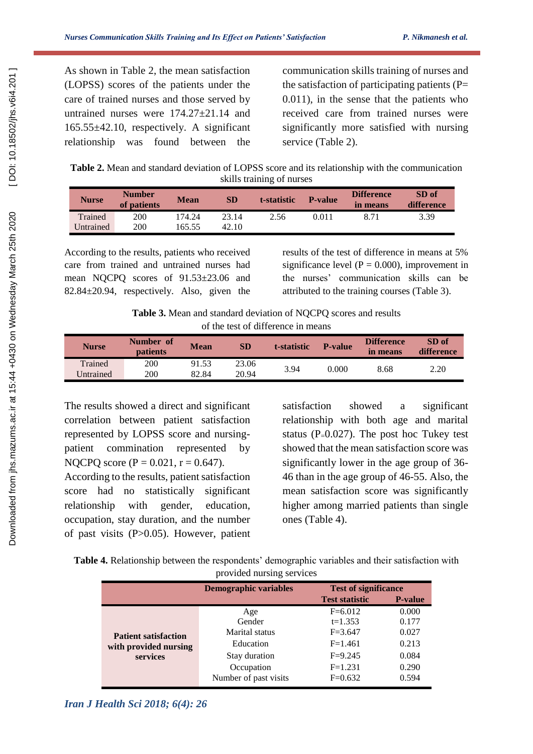As shown in Table 2, the mean satisfaction (LOPSS) scores of the patients under the care of trained nurses and those served by untrained nurses were 174.27±21.14 and 165.55±42.10, respectively. A significant relationship was found between the

 $\overline{1}$ 

communication skills training of nurses and the satisfaction of participating patients  $(P=$ 0.011), in the sense that the patients who received care from trained nurses were significantly more satisfied with nursing service (Table 2).

**Table 2.** Mean and standard deviation of LOPSS score and its relationship with the communication skills training of nurses

| <b>Nurse</b> | <b>Number</b><br>of patients | <b>Mean</b> | <b>SD</b> | t-statistic | <b>P-value</b> | <b>Difference</b><br>in means | SD of<br>difference |
|--------------|------------------------------|-------------|-----------|-------------|----------------|-------------------------------|---------------------|
| Trained      | 200                          | 174.24      | 23.14     | 2.56        | 0.011          | 8.71                          | 3.39                |
| Untrained    | 200                          | 165.55      | 42.10     |             |                |                               |                     |

According to the results, patients who received care from trained and untrained nurses had mean NQCPQ scores of 91.53±23.06 and 82.84±20.94, respectively. Also, given the results of the test of difference in means at 5% significance level ( $P = 0.000$ ), improvement in the nurses' communication skills can be attributed to the training courses (Table 3).

**Table 3.** Mean and standard deviation of NQCPQ scores and results of the test of difference in means

| <b>Nurse</b> | Number of<br><b>patients</b> | <b>Mean</b> | SD    | t-statistic | <b>P-value</b> | <b>Difference</b><br>in means | SD of<br>difference |
|--------------|------------------------------|-------------|-------|-------------|----------------|-------------------------------|---------------------|
| Trained      | 200                          | 91.53       | 23.06 | 3.94        | 0.000          | 8.68                          | 2.20                |
| Jntrained    | 200                          | 82.84       | 20.94 |             |                |                               |                     |

The results showed a direct and significant correlation between patient satisfaction represented by LOPSS score and nursingpatient commination represented by NQCPQ score ( $P = 0.021$ ,  $r = 0.647$ ).

According to the results, patient satisfaction score had no statistically significant relationship with gender, education, occupation, stay duration, and the number of past visits (P>0.05). However, patient

satisfaction showed a significant relationship with both age and marital status ( $P=0.027$ ). The post hoc Tukey test showed that the mean satisfaction score was significantly lower in the age group of 36- 46 than in the age group of 46-55. Also, the mean satisfaction score was significantly higher among married patients than single ones (Table 4).

| Table 4. Relationship between the respondents' demographic variables and their satisfaction with |                           |  |  |
|--------------------------------------------------------------------------------------------------|---------------------------|--|--|
|                                                                                                  | provided nursing services |  |  |

|                                                                  | <b>Demographic variables</b> | <b>Test of significance</b> |                |
|------------------------------------------------------------------|------------------------------|-----------------------------|----------------|
|                                                                  |                              | <b>Test statistic</b>       | <b>P-value</b> |
| <b>Patient satisfaction</b><br>with provided nursing<br>services | Age                          | $F=6.012$                   | 0.000          |
|                                                                  | Gender                       | $t=1.353$                   | 0.177          |
|                                                                  | Marital status               | $F = 3.647$                 | 0.027          |
|                                                                  | Education                    | $F=1.461$                   | 0.213          |
|                                                                  | Stay duration                | $F=9.245$                   | 0.084          |
|                                                                  | Occupation                   | $F=1.231$                   | 0.290          |
|                                                                  | Number of past visits        | $F=0.632$                   | 0.594          |

*Iran J Health Sci 2018; 6(4): 26*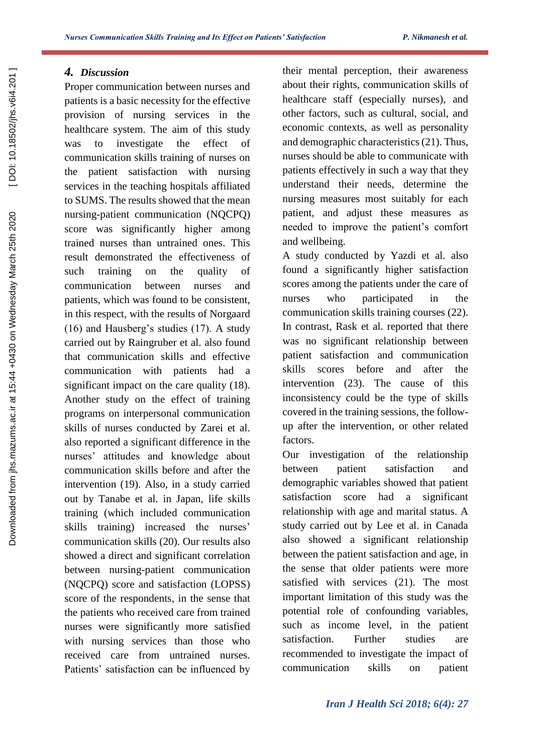# *4. Discussion*

Proper communication between nurses and patients is a basic necessity for the effective provision of nursing services in the healthcare system. The aim of this study was to investigate the effect of communication skills training of nurses on the patient satisfaction with nursing services in the teaching hospitals affiliated to SUMS. The results showed that the mean nursing-patient communication (NQCPQ) score was significantly higher among trained nurses than untrained ones. This result demonstrated the effectiveness of such training on the quality of communication between nurses and patients, which was found to be consistent, in this respect, with the results of Norgaard (16) and Hausberg's studies (17). A study carried out by Raingruber et al. also found that communication skills and effective communication with patients had a significant impact on the care quality (18). Another study on the effect of training programs on interpersonal communication skills of nurses conducted by Zarei et al. also reported a significant difference in the nurses' attitudes and knowledge about communication skills before and after the intervention (19). Also, in a study carried out by Tanabe et al. in Japan, life skills training (which included communication skills training) increased the nurses' communication skills (20). Our results also showed a direct and significant correlation between nursing-patient communication (NQCPQ) score and satisfaction (LOPSS) score of the respondents, in the sense that the patients who received care from trained nurses were significantly more satisfied with nursing services than those who received care from untrained nurses. Patients' satisfaction can be influenced by

their mental perception, their awareness about their rights, communication skills of healthcare staff (especially nurses), and other factors, such as cultural, social, and economic contexts, as well as personality and demographic characteristics (21). Thus, nurses should be able to communicate with patients effectively in such a way that they understand their needs, determine the nursing measures most suitably for each patient, and adjust these measures as needed to improve the patient's comfort and wellbeing.

A study conducted by Yazdi et al. also found a significantly higher satisfaction scores among the patients under the care of nurses who participated in the communication skills training courses (22). In contrast, Rask et al. reported that there was no significant relationship between patient satisfaction and communication skills scores before and after the intervention (23). The cause of this inconsistency could be the type of skills covered in the training sessions, the followup after the intervention, or other related factors.

Our investigation of the relationship between patient satisfaction and demographic variables showed that patient satisfaction score had a significant relationship with age and marital status. A study carried out by Lee et al. in Canada also showed a significant relationship between the patient satisfaction and age, in the sense that older patients were more satisfied with services (21). The most important limitation of this study was the potential role of confounding variables, such as income level, in the patient satisfaction. Further studies are recommended to investigate the impact of communication skills on patient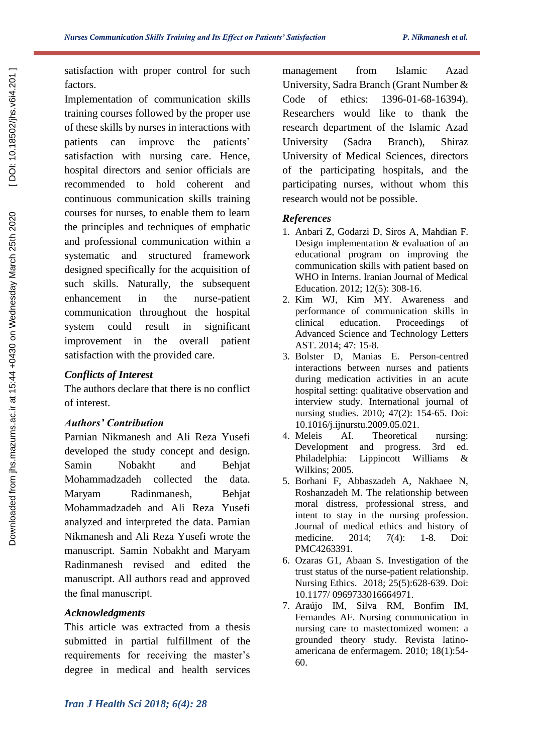satisfaction with proper control for such factors.

 $\overline{1}$ 

Implementation of communication skills training courses followed by the proper use of these skills by nurses in interactions with patients can improve the patients' satisfaction with nursing care. Hence, hospital directors and senior officials are recommended to hold coherent and continuous communication skills training courses for nurses, to enable them to learn the principles and techniques of emphatic and professional communication within a systematic and structured framework designed specifically for the acquisition of such skills. Naturally, the subsequent enhancement in the nurse-patient communication throughout the hospital system could result in significant improvement in the overall patient satisfaction with the provided care.

## *Conflicts of Interest*

The authors declare that there is no conflict of interest.

## *Authors' Contribution*

Parnian Nikmanesh and Ali Reza Yusefi developed the study concept and design. Samin Nobakht and Behjat Mohammadzadeh collected the data. Maryam Radinmanesh, Behjat Mohammadzadeh and Ali Reza Yusefi analyzed and interpreted the data. Parnian Nikmanesh and Ali Reza Yusefi wrote the manuscript. Samin Nobakht and Maryam Radinmanesh revised and edited the manuscript. All authors read and approved the final manuscript.

# *Acknowledgments*

This article was extracted from a thesis submitted in partial fulfillment of the requirements for receiving the master's degree in medical and health services

management from Islamic Azad University, Sadra Branch (Grant Number & Code of ethics: 1396-01-68-16394). Researchers would like to thank the research department of the Islamic Azad University (Sadra Branch), Shiraz University of Medical Sciences, directors of the participating hospitals, and the participating nurses, without whom this research would not be possible.

### *References*

- 1. Anbari Z, Godarzi D, Siros A, Mahdian F. Design implementation & evaluation of an educational program on improving the communication skills with patient based on WHO in Interns. Iranian Journal of Medical Education. 2012; 12(5): 308-16.
- 2. Kim WJ, Kim MY. Awareness and performance of communication skills in clinical education. Proceedings of Advanced Science and Technology Letters AST. 2014; 47: 15-8.
- 3. Bolster D, Manias E. Person-centred interactions between nurses and patients during medication activities in an acute hospital setting: qualitative observation and interview study. International journal of nursing studies. 2010; 47(2): 154-65. Doi: 10.1016/j.ijnurstu.2009.05.021.
- 4. Meleis AI. Theoretical nursing: Development and progress. 3rd ed. Philadelphia: Lippincott Williams & Wilkins; 2005.
- 5. Borhani F, Abbaszadeh A, Nakhaee N, Roshanzadeh M. The relationship between moral distress, professional stress, and intent to stay in the nursing profession. Journal of medical ethics and history of medicine. 2014; 7(4): 1-8. Doi: PMC4263391.
- 6. Ozaras G1, Abaan S. Investigation of the trust status of the nurse-patient relationship. Nursing Ethics. 2018; 25(5):628-639. Doi: 10.1177/ 0969733016664971.
- 7. Araújo IM, Silva RM, Bonfim IM, Fernandes AF. Nursing communication in nursing care to mastectomized women: a grounded theory study. Revista latinoamericana de enfermagem. 2010; 18(1):54- 60.